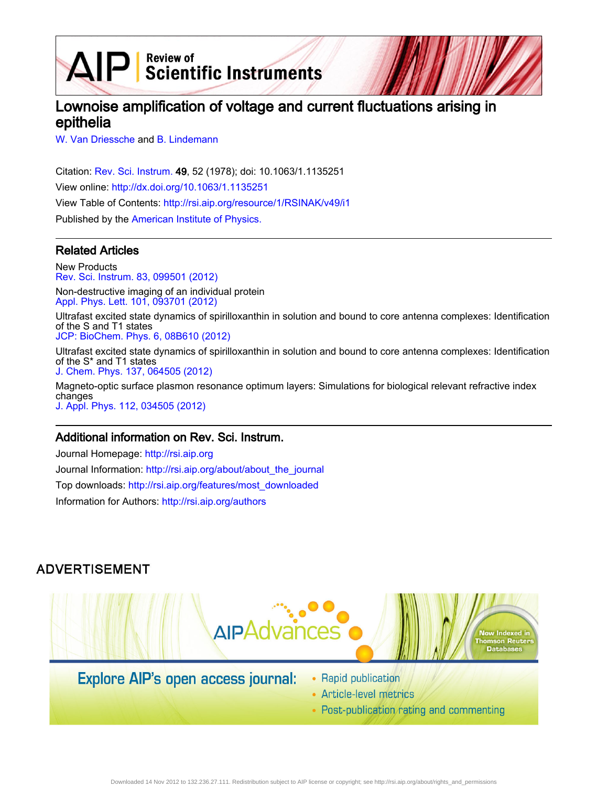AIP Scientific Instruments

# Lownoise amplification of voltage and current fluctuations arising in epithelia

[W. Van Driessche](http://rsi.aip.org/search?sortby=newestdate&q=&searchzone=2&searchtype=searchin&faceted=faceted&key=AIP_ALL&possible1=W. Van Driessche&possible1zone=author&alias=&displayid=AIP&ver=pdfcov) and [B. Lindemann](http://rsi.aip.org/search?sortby=newestdate&q=&searchzone=2&searchtype=searchin&faceted=faceted&key=AIP_ALL&possible1=B. Lindemann&possible1zone=author&alias=&displayid=AIP&ver=pdfcov)

Citation: [Rev. Sci. Instrum.](http://rsi.aip.org?ver=pdfcov) 49, 52 (1978); doi: 10.1063/1.1135251 View online: [http://dx.doi.org/10.1063/1.1135251](http://link.aip.org/link/doi/10.1063/1.1135251?ver=pdfcov) View Table of Contents: [http://rsi.aip.org/resource/1/RSINAK/v49/i1](http://rsi.aip.org/resource/1/RSINAK/v49/i1?ver=pdfcov) Published by the [American Institute of Physics.](http://www.aip.org/?ver=pdfcov)

# Related Articles

New Products [Rev. Sci. Instrum. 83, 099501 \(2012\)](http://link.aip.org/link/doi/10.1063/1.4751449?ver=pdfcov)

Non-destructive imaging of an individual protein [Appl. Phys. Lett. 101, 093701 \(2012\)](http://link.aip.org/link/doi/10.1063/1.4748113?ver=pdfcov)

Ultrafast excited state dynamics of spirilloxanthin in solution and bound to core antenna complexes: Identification of the S and T1 states

[JCP: BioChem. Phys. 6, 08B610 \(2012\)](http://link.aip.org/link/doi/10.1063/1.4737129?ver=pdfcov)

Ultrafast excited state dynamics of spirilloxanthin in solution and bound to core antenna complexes: Identification of the S\* and T1 states [J. Chem. Phys. 137, 064505 \(2012\)](http://link.aip.org/link/doi/10.1063/1.4737129?ver=pdfcov)

Magneto-optic surface plasmon resonance optimum layers: Simulations for biological relevant refractive index changes [J. Appl. Phys. 112, 034505 \(2012\)](http://link.aip.org/link/doi/10.1063/1.4742130?ver=pdfcov)

# Additional information on Rev. Sci. Instrum.

Journal Homepage: [http://rsi.aip.org](http://rsi.aip.org?ver=pdfcov) Journal Information: [http://rsi.aip.org/about/about\\_the\\_journal](http://rsi.aip.org/about/about_the_journal?ver=pdfcov) Top downloads: [http://rsi.aip.org/features/most\\_downloaded](http://rsi.aip.org/features/most_downloaded?ver=pdfcov) Information for Authors: [http://rsi.aip.org/authors](http://rsi.aip.org/authors?ver=pdfcov)

# **ADVERTISEMENT**



# **Explore AIP's open access journal:**

- Rapid publication
- Article-level metrics
- Post-publication rating and commenting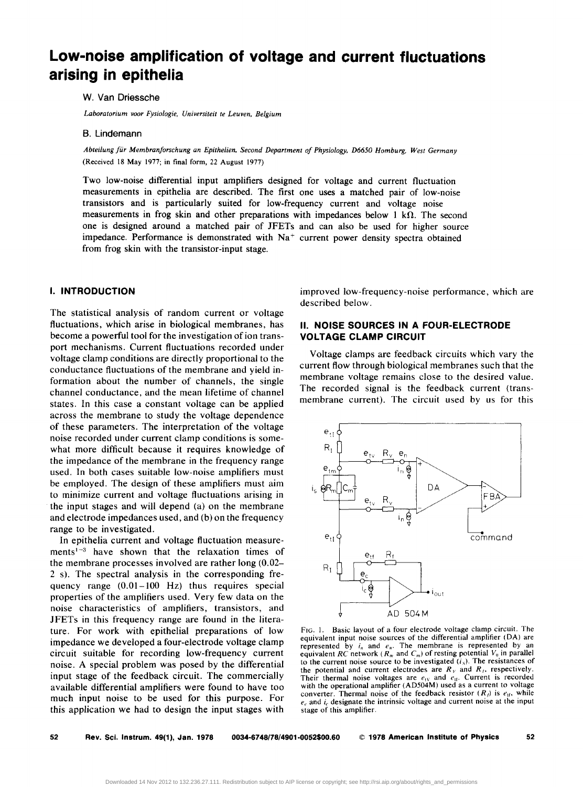# **Low-noise amplification of voltage and current fluctuations arising in epithelia**

#### W. Van Driessche

*Laboratorium voor Fysiologie. Universiteit te Leuven. Belgium* 

#### B. Lindemann

*Abteilung fur Membranforschung an Epithelien. Second Department of Physiology. D6650 Homburg. West Germany*  (Received 18 May 1977; in final form, 22 August 1977)

Two low-noise differential input amplifiers designed for voltage and current fluctuation measurements in epithelia are described. The first one uses a matched pair of low-noise transistors and is particularly suited for low-frequency current and voltage noise measurements in frog skin and other preparations with impedances below 1  $k\Omega$ . The second one is designed around a matched pair of JFETs and can also be used for higher source impedance. Performance is demonstrated with  $Na<sup>+</sup>$  current power density spectra obtained from frog skin with the transistor-input stage.

#### **I. INTRODUCTION**

The statistical analysis of random current or voltage fluctuations, which arise in biological membranes, has become a powerful tool for the in vestigation of ion transport mechanisms. Current fluctuations recorded under voltage clamp conditions are directly proportional to the conductance fluctuations of the membrane and yield information about the number of channels, the single channel conductance, and the mean lifetime of channel states. In this case a constant voltage can be applied across the membrane to study the voltage dependence of these parameters. The interpretation of the voltage noise recorded under current clamp conditions is somewhat more difficult because it requires knowledge of the impedance of the membrane in the frequency range used. In both cases suitable low-noise amplifiers must be employed. The design of these amplifiers must aim to minimize current and voltage fluctuations arising in the input stages and will depend (a) on the membrane and electrode impedances used, and (b) on the frequency range to be investigated.

In epithelia current and voltage fluctuation measurements<sup> $1-3$ </sup> have shown that the relaxation times of the membrane processes involved are rather long (0.02- 2 s). The spectral analysis in the corresponding frequency range (0.01-100 Hz) thus requires special properties of the amplifiers used. Very few data on the noise characteristics of amplifiers, transistors, and JFETs in this frequency range are found in the literature. For work with epithelial preparations of low impedance we developed a four-electrode voltage clamp circuit suitable for recording low-frequency current noise. A special problem was posed by the differential input stage of the feedback circuit. The commercially available differential amplifiers were found to have too much input noise to be used for this purpose. For this application we had to design the input stages with

improved low-frequency-noise performance, which are described below.

## II. **NOISE SOURCES IN A FOUR-ELECTRODE VOLTAGE CLAMP CIRCUIT**

Voltage clamps are feedback circuits which vary the current flow through biological membranes such that the membrane voltage remains close to the desired value. The recorded signal is the feedback current (transmembrane current). The circuit used by us for this



FIG. I. Basic layout of a four electrode voltage clamp circuit. The equivalent input noise sources of the differential amplifier (DA) are represented by  $i_n$  and  $e_n$ . The membrane is represented by an equivalent *RC* network  $(R_m$  and  $C_m$ ) of resting potential  $V_0$  in parallel to the current noise source to be investigated  $(i<sub>s</sub>)$ . The resistances of the potential and current electrodes are  $R<sub>V</sub>$  and  $R<sub>I</sub>$ , respectively. Their thermal noise voltages are  $e<sub>tv</sub>$  and  $e<sub>u</sub>$ . Current is recorded with the operational amplifier (AD504M) used as a current to voltage converter. Thermal noise of the feedback resistor  $(R_i)$  is  $e_{if}$ , while *ec* and *ic* designate the intrinsic voltage and current noise at the input stage of this amplifier.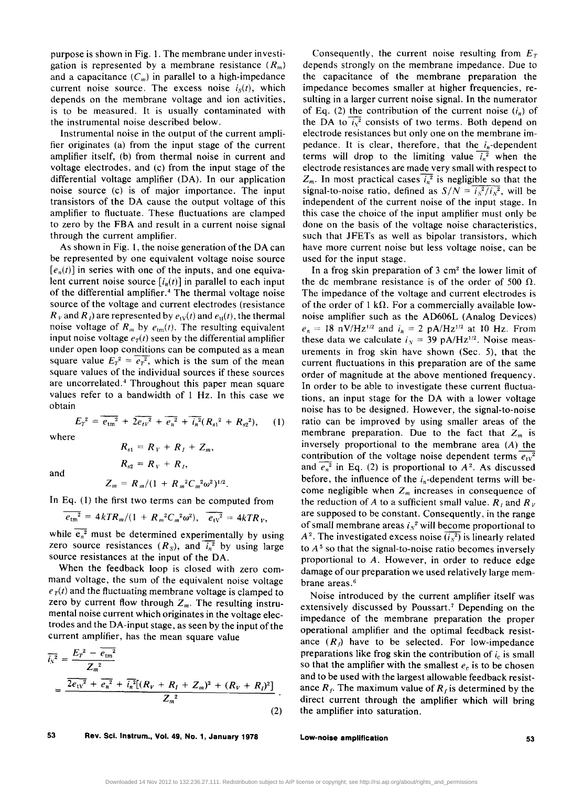purpose is shown in Fig. 1. The membrane under investigation is represented by a membrane resistance  $(R_m)$ and a capacitance  $(C_m)$  in parallel to a high-impedance current noise source. The excess noise  $i<sub>s</sub>(t)$ , which depends on the membrane voltage and ion activities, is to be measured. It is usually contaminated with the instrumental noise described below.

Instrumental noise in the output of the current amplifier originates (a) from the input stage of the current amplifier itself, (b) from thermal noise in current and voltage electrodes, and (c) from the input stage of the differential voltage amplifier (DA). In our application noise source (c) is of major importance. The input transistors of the DA cause the output voltage of this amplifier to fluctuate. These fluctuations are clamped to zero by the FBA and result in a current noise signal through the current amplifier.

As shown in Fig. 1, the noise generation of the DA can be represented by one equivalent voltage noise source  $[e_n(t)]$  in series with one of the inputs, and one equivalent current noise source  $[i_n(t)]$  in parallel to each input of the differential amplifier. 4 The thermal voltage noise source of the voltage and current electrodes (resistance  $R<sub>V</sub>$  and  $R<sub>I</sub>$ ) are represented by  $e<sub>tv</sub>(t)$  and  $e<sub>u</sub>(t)$ , the thermal noise voltage of  $R_m$  by  $e_{tm}(t)$ . The resulting equivalent input noise voltage  $e_T(t)$  seen by the differential amplifier under open loop conditions can be computed as a mean square value  $E_T^2 = \overline{e_T^2}$ , which is the sum of the mean square values of the individual sources if these sources are uncorrelated.<sup>4</sup> Throughout this paper mean square values refer to a bandwidth of 1 Hz. In this case we obtain

$$
E_T^2 = \overline{e_{\text{tm}}^2} + 2\overline{e_{\text{tv}}^2} + \overline{e_n^2} + \overline{i_n^2}(R_{s1}^2 + R_{s2}^2), \qquad (1)
$$

where

and

$$
Z_m = R_m/(1 + R_m^2 C_m^2 \omega^2)^{1/2}.
$$

 $R_{s1} = R_V + R_I + Z_m$ 

 $R_{s2} = R_V + R_I$ 

In Eq. (1) the first two terms can be computed from

$$
\overline{e_{\rm tm}^2} = 4kTR_m/(1 + R_m^2C_m^2\omega^2), \quad \overline{e_{\rm tv}^2} = 4kTR_v,
$$

while  $e_n^2$  must be determined experimentally by using zero source resistances  $(R<sub>s</sub>)$ , and  $\overline{i_n^2}$  by using large source resistances at the input of the DA.

When the feedback loop is closed with zero command voltage, the sum of the equivalent noise voltage  $e_T(t)$  and the fluctuating membrane voltage is clamped to zero by current flow through  $Z_m$ . The resulting instrumental noise current which originates in the voltage electrodes and the DA-input stage, as seen by the input of the

current amplifier, has the mean square value  
\n
$$
\overline{i_x^2} = \frac{E_T^2 - \overline{e_{\text{tm}}^2}}{Z_m^2}
$$
\n
$$
= \frac{\overline{2e_{\text{tv}}^2 + e_n^2} + \overline{i_n^2}[(R_V + R_I + Z_m)^2 + (R_V + R_I)^2]}{Z_m^2}.
$$
\n(2)

Consequently, the current noise resulting from  $E_T$ depends strongly on the membrane impedance. Due to the capacitance of the membrane preparation the impedance becomes smaller at higher frequencies, resulting in a larger current noise signal. In the numerator of Eq. (2) the contribution of the current noise  $(i_n)$  of the DA to  $\overline{iy^2}$  consists of two terms. Both depend on electrode resistances but only one on the membrane impedance. It is clear, therefore, that the  $i_n$ -dependent terms will drop to the limiting value  $\overline{t_n^2}$  when the electrode resistances are made very small with respect to  $Z_m$ . In most practical cases  $\overline{i_n^2}$  is negligible so that the signal-to-noise ratio, defined as  $S/N = i_s^2/i_s^2$ , will be independent of the current noise of the input stage. In this case the choice of the input amplifier must only be done on the basis of the voltage noise characteristics, such that JFETs as well as bipolar transistors, which have more current noise but less voltage noise, can be used for the input stage.

In a frog skin preparation of 3 cm2 the lower limit of the dc membrane resistance is of the order of 500  $\Omega$ . The impedance of the voltage and current electrodes is of the order of 1 k $\Omega$ . For a commercially available lownoise amplifier such as the AD606L (Analog Devices)  $e_n = 18$  nV/Hz<sup>1/2</sup> and  $i_n = 2$  pA/Hz<sup>1/2</sup> at 10 Hz. From these data we calculate  $i<sub>N</sub> = 39$  pA/Hz<sup>1/2</sup>. Noise measurements in frog skin have shown (Sec. 5), that the current fluctuations in this preparation are of the same order of magnitude at the above mentioned frequency. In order to be able to investigate these current fluctuations, an input stage for the DA with a lower voltage noise has to be designed. However, the signal-to-noise ratio can be improved by using smaller areas of the membrane preparation. Due to the fact that  $Z_m$  is inversely proportional to the membrane area (A) the contribution of the voltage noise dependent terms  $\overline{e_{iv}^2}$ and  $\overline{e_n^2}$  in Eq. (2) is proportional to  $A^2$ . As discussed before, the influence of the  $i_n$ -dependent terms will become negligible when  $Z_m$  increases in consequence of the reduction of *A* to a sufficient small value.  $R_i$  and  $R_i$ are supposed to be constant. Consequently, in the range of small membrane areas  $i<sub>N</sub><sup>2</sup>$  will become proportional to  $A<sup>2</sup>$ . The investigated excess noise  $\overline{(i_s^2)}$  is linearly related to  $A<sup>5</sup>$  so that the signal-to-noise ratio becomes inversely proportional to *A.* However, in order to reduce edge damage of our preparation we used relatively large membrane areas. <sup>6</sup>

Noise introduced by the current amplifier itself was extensively discussed by Poussart.<sup>7</sup> Depending on the impedance of the membrane preparation the proper operational amplifier and the optimal feedback resistance  $(R_f)$  have to be selected. For low-impedance preparations like frog skin the contribution of  $i<sub>c</sub>$  is small so that the amplifier with the smallest  $e_c$  is to be chosen and to be used with the largest allowable feedback resistance  $R_f$ . The maximum value of  $R_f$  is determined by the direct current through the amplifier which will bring the amplifier into saturation.

53 Rev. Sci. Instrum., Vol. 49, No.1, January 1978

Low-noise amplification 53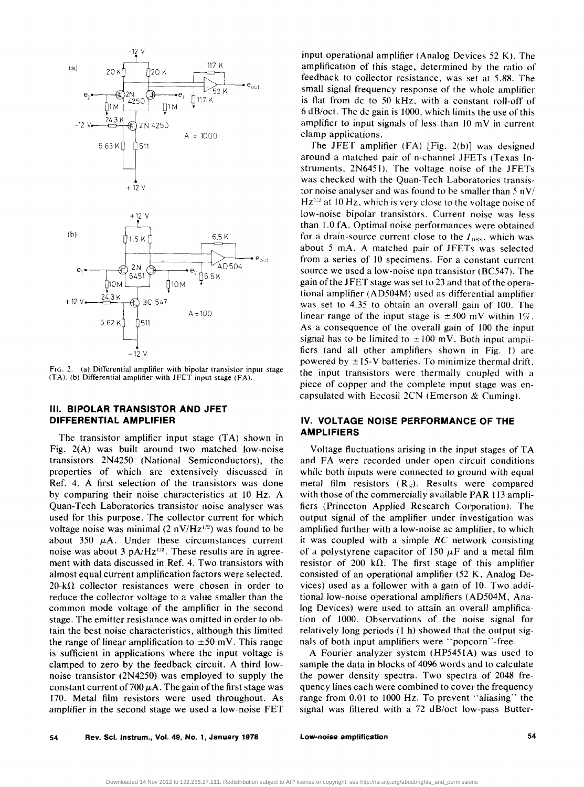

FIG. 2. (a) Differential amplifier with bipolar transistor input stage (TA). (b) Differential amplifier with JFET input stage (FA).

### **III. BIPOLAR TRANSISTOR AND JFET DIFFERENTIAL AMPLIFIER**

The transistor amplifier input stage (TA) shown in Fig. 2(A) was built around two matched low-noise transistors 2N4250 (National Semiconductors), the properties of which are extensively discussed in Ref. 4. A first selection of the transistors was done by comparing their noise characteristics at 10 Hz. A Quan-Tech Laboratories transistor noise analyser was used for this purpose. The collector current for which voltage noise was minimal  $(2 nV/Hz^{1/2})$  was found to be about 350  $\mu$ A. Under these circumstances current noise was about 3 *pA/HzI/2.* These results are in agreement with data discussed in Ref. 4. Two transistors with almost equal current amplification factors were selected.  $20 - k\Omega$  collector resistances were chosen in order to reduce the collector voltage to a value smaller than the common mode voltage of the amplifier in the second stage. The emitter resistance was omitted in order to obtain the best noise characteristics, although this limited the range of linear amplification to  $\pm 50$  mV. This range is sufficient in applications where the input voltage is clamped to zero by the feedback circuit. A third lownoise transistor (2N4250) was employed to supply the constant current of 700  $\mu$ A. The gain of the first stage was 170. Metal film resistors were used throughout. As amplifier in the second stage we used a low-noise FET

input operational amplifier (Analog Devices 52 K). The amplification of this stage, determined by the ratio of feedback to collector resistance. was set at 5.88. The small signal frequency response of the whole amplifier is flat from dc to 50 kHz. with a constant roll-off of 6 dB/oct. The dc gain is 1000, which limits the use of this amplifier to input signals of less than  $10 \text{ mV}$  in current clamp applications.

The JFET amplifier (FA) [Fig. 2(b)] was designed around a matched pair of n-channel JFETs (Texas Instruments, 2N6451). The voltage noise of the JFETs was checked with the Quan-Tech Laboratories transistor noise analyser and was found to be smaller than  $5 \frac{nv}{1}$  $Hz^{1/2}$  at 10 Hz, which is very close to the voltage noise of low-noise bipolar transistors. Current noise was less than 1.0 fA. Optimal noise performances were obtained for a drain-source current close to the  $I_{\text{DSS}}$ , which was about 5 mA. A matched pair of JFETs was selected from a series of 10 specimens. For a constant current source we used a low-noise npn transistor (BC547). The gain of the JFET stage was set to 23 and that of the operational amplifier (AD504M) used as differential amplifier was set to 4.35 to obtain an overall gain of 100. The linear range of the input stage is  $\pm 300$  mV within 1%. As a consequence of the overall gain of 100 the input signal has to be limited to  $\pm 100$  mV. Both input amplifiers (and all other amplifiers shown in Fig. I) are powered by  $\pm$  15-V batteries. To minimize thermal drift, the input transistors were thermally coupled with a piece of copper and the complete input stage was encapsulated with Eccosil 2CN (Emerson & Cuming).

## IV. **VOLTAGE NOISE PERFORMANCE OF THE AMPLIFIERS**

Voltage fluctuations arising in the input stages of TA and FA were recorded under open circuit conditions while both inputs were connected to ground with equal metal film resistors  $(R<sub>S</sub>)$ . Results were compared with those of the commercially available PAR 113 amplifiers (Princeton Applied Research Corporation). The output signal of the amplifier under investigation was amplified further with a low-noise ac amplifier, to which it was coupled with a simple RC network consisting of a polystyrene capacitor of 150  $\mu$ F and a metal film resistor of 200 k $\Omega$ . The first stage of this amplifier consisted of an operational amplifier (52 K, Analog Devices) used as a follower with a gain of 10. Two additional low-noise operational amplifiers (AD504M, Analog Devices) were used to attain an overall amplification of 1000. Observations of the noise signal for relatively long periods (1 h) showed that the output signals of both input amplifiers were "popcorn"-free.

A Fourier analyzer system (HP5451A) was used to sample the data in blocks of 4096 words and to calculate the power density spectra. Two spectra of 2048 frequency lines each were combined to cover the frequency range from 0.01 to 1000 Hz. To prevent "aliasing" the signal was filtered with a 72 dB/oct low-pass Butter-

low-noise amplification 54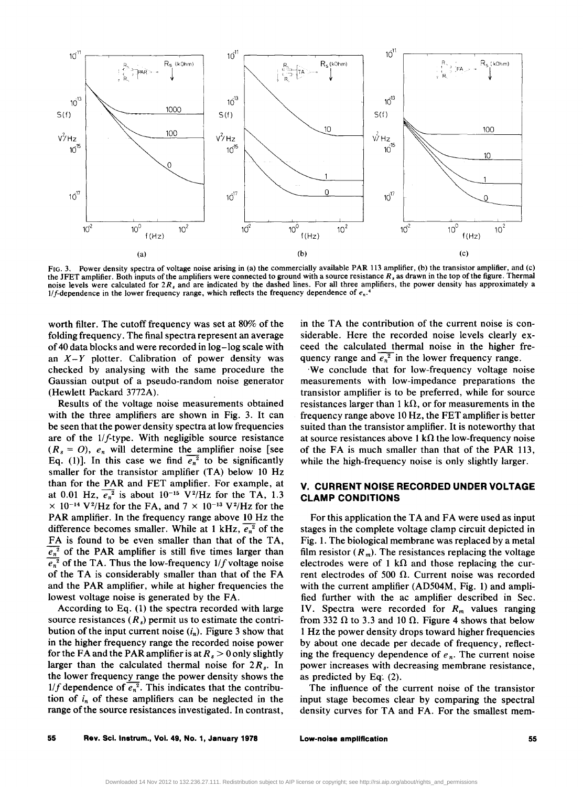

FIG, 3. Power density spectra of voltage noise arising in (a) the commercially available PAR 113 amplifier, (b) the transistor amplifier, and (c) the JFET amplifier. Both inputs of the amplifiers were connected to ground with a source resistance *R,* as drawn in the top of the figure. Thermal noise levels were calculated for *2R,* and are indicated by the dashed lines. For all three amplifiers, the power density has approximately a  $1/f$ -dependence in the lower frequency range, which reflects the frequency dependence of  $e_n$ .<sup>4</sup>

worth filter. The cutoff frequency was set at 80% of the folding frequency. The final spectra represent an average of 40 data blocks and were recorded in log -log scale with an  $X - Y$  plotter. Calibration of power density was checked by analysing with the same procedure the Gaussian output of a pseudo-random noise generator (Hewlett Packard 3772A).

Results of the voltage noise measurements obtained with the three amplifiers are shown in Fig. 3. It can be seen that the power density spectra at low frequencies are of the 1/f-type. With negligible source resistance  $(R_s = 0)$ ,  $e_n$  will determine the amplifier noise [see Eq. (1)]. In this case we find  $\overline{e_n}^2$  to be significantly smaller for the transistor amplifier (TA) below 10 Hz than for the PAR and FET amplifier. For example, at at 0.01 Hz,  $\overline{e_n^2}$  is about 10<sup>-15</sup> V<sup>2</sup>/Hz for the TA, 1.3  $\times$  10<sup>-14</sup> V<sup>2</sup>/Hz for the FA, and 7  $\times$  10<sup>-13</sup> V<sup>2</sup>/Hz for the PAR amplifier. In the frequency range above 10 Hz the difference becomes smaller. While at 1 kHz,  $\overline{e_n^2}$  of the FA is found to be even smaller than that of the TA,  $e_n^2$  of the PAR amplifier is still five times larger than  $\overline{e_n}^2$  of the TA. Thus the low-frequency  $1/f$  voltage noise of the TA is considerably smaller than that of the FA and the PAR amplifier, while at higher frequencies the lowest voltage noise is generated by the FA.

According to Eq. (1) the spectra recorded with large source resistances  $(R_s)$  permit us to estimate the contribution of the input current noise  $(i_n)$ . Figure 3 show that in the higher frequency range the recorded noise power for the FA and the PAR amplifier is at  $R_s > 0$  only slightly larger than the calculated thermal noise for *2Rs•* In the lower frequency range the power density shows the 1/f dependence of  $\overline{e_n^2}$ . This indicates that the contribution of  $i_n$  of these amplifiers can be neglected in the range of the source resistances investigated. In contrast,

in the TA the contribution of the current noise is considerable. Here the recorded noise levels clearly exceed the calculated thermal noise in the higher frequency range and  $\overline{e_n^2}$  in the lower frequency range.

'We conclude that for low-frequency voltage noise measurements with low-impedance preparations the transistor amplifier is to be preferred, while for source resistances larger than 1 k $\Omega$ , or for measurements in the frequency range above 10 Hz, the FET amplifier is better suited than the transistor amplifier. It is noteworthy that at source resistances above 1 k $\Omega$  the low-frequency noise of the FA is much smaller than that of the PAR 113, while the high-frequency noise is only slightly larger.

## V. **CURRENT NOISE RECORDED UNDER VOLTAGE CLAMP CONDITIONS**

For this application the TA and FA were used as input stages in the complete voltage clamp circuit depicted in Fig. 1. The biological membrane was replaced by a metal film resistor  $(R_m)$ . The resistances replacing the voltage electrodes were of 1 k $\Omega$  and those replacing the current electrodes of 500  $\Omega$ . Current noise was recorded with the current amplifier (AD504M, Fig. 1) and amplified further with the ac amplifier described in Sec. IY. Spectra were recorded for *Rm* values ranging from 332  $\Omega$  to 3.3 and 10  $\Omega$ . Figure 4 shows that below 1 Hz the power density drops toward higher frequencies by about one decade per decade of frequency, reflecting the frequency dependence of  $e_n$ . The current noise power increases with decreasing membrane resistance, as predicted by Eq', (2).

The influence of the current noise of the transistor input stage becomes clear by comparing the spectral density curves for TA and FA. For the smallest mem-

Low-noise amplification 55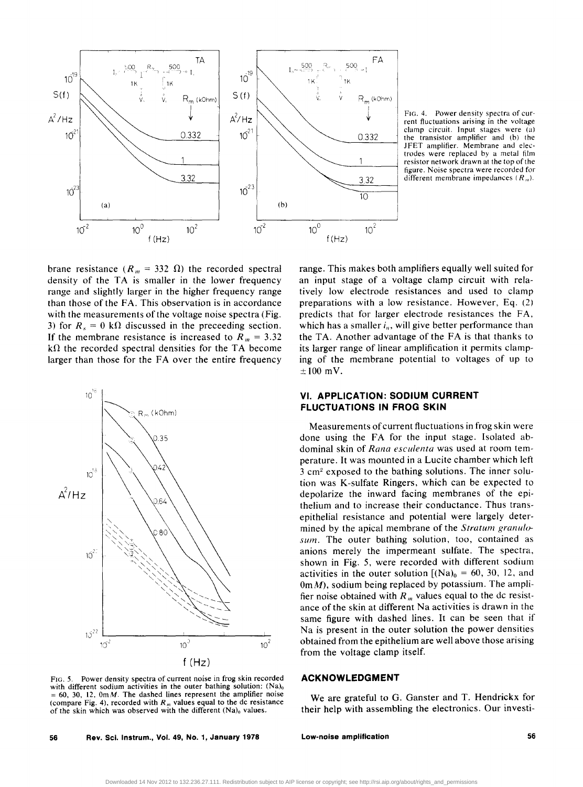

FIG. 4. Power density spectra of current fluctuations arising in the voltage clamp circuit. Input stages were (a) the transistor amplifier and (b) the JFET amplifier. Membrane and electrodes were replaced by a metal film resistor network drawn at the top of the figure. Noise spectra were recorded for  $3.32$  different membrane impedances  $(R_m)$ .

brane resistance ( $R_m = 332 \Omega$ ) the recorded spectral density of the TA is smaller in the lower frequency range and slightly larger in the higher frequency range than those of the FA. This observation is in accordance with the measurements of the voltage noise spectra (Fig. 3) for  $R_s = 0 \text{ k}\Omega$  discussed in the preceeding section. If the membrane resistance is increased to  $R_m = 3.32$  $k\Omega$  the recorded spectral densities for the TA become larger than those for the FA over the entire frequency



FIG. 5. Power density spectra of current noise in frog skin recorded with different sodium activities in the outer bathing solution:  $(Na)_{0}$  $= 60, 30, 12, 0 \text{m}$ . The dashed lines represent the amplifier noise (compare Fig. 4), recorded with  $R_m$  values equal to the dc resistance of the skin which was observed with the different (Na)<sub>0</sub> values.

56 Rev. Sci. Instrum., Vol. 49, No.1, January 1978

range. This makes both amplifiers equally well suited for an input stage of a voltage clamp circuit with relatively low electrode resistances and used to clamp preparations with a low resistance. However, Eq. (2) predicts that for larger electrode resistances the FA, which has a smaller  $i_n$ , will give better performance than the TA. Another advantage of the FA is that thanks to its larger range of linear amplification it permits clamping of the membrane potential to voltages of up to  $\pm 100$  mV.

### **VI. APPLICATION: SODIUM CURRENT FLUCTUATIONS IN FROG SKIN**

Measurements of current fluctuations in frog skin were done using the FA for the input stage. Isolated abdominal skin of *Rana esculenta* was used at room temperature. It was mounted in a Lucite chamber which left 3 cm2 exposed to the bathing solutions. The inner solution was K-sulfate Ringers, which can be expected to depolarize the inward facing membranes of the epithelium and to increase their conductance. Thus transepithelial resistance and potential were largely determined by the apical membrane of the *Stratum granulosum.* The outer bathing solution, too, contained as anions merely the impermeant sulfate. The spectra, shown in Fig. 5, were recorded with different sodium activities in the outer solution  $[(Na)<sub>0</sub> = 60, 30, 12, and]$  $0m/M$ ), sodium being replaced by potassium. The amplifier noise obtained with  $R<sub>m</sub>$  values equal to the dc resistance of the skin at different Na activities is drawn in the same figure with dashed lines. It can be seen that if Na is present in the outer solution the power densities obtained from the epithelium are well above those arising from the voltage clamp itself.

### **ACKNOWLEDGMENT**

We are grateful to G. Ganster and T. Hendrickx for their help with assembling the electronics. Our investi-

Low-noise amplification and the state of the state  $56$